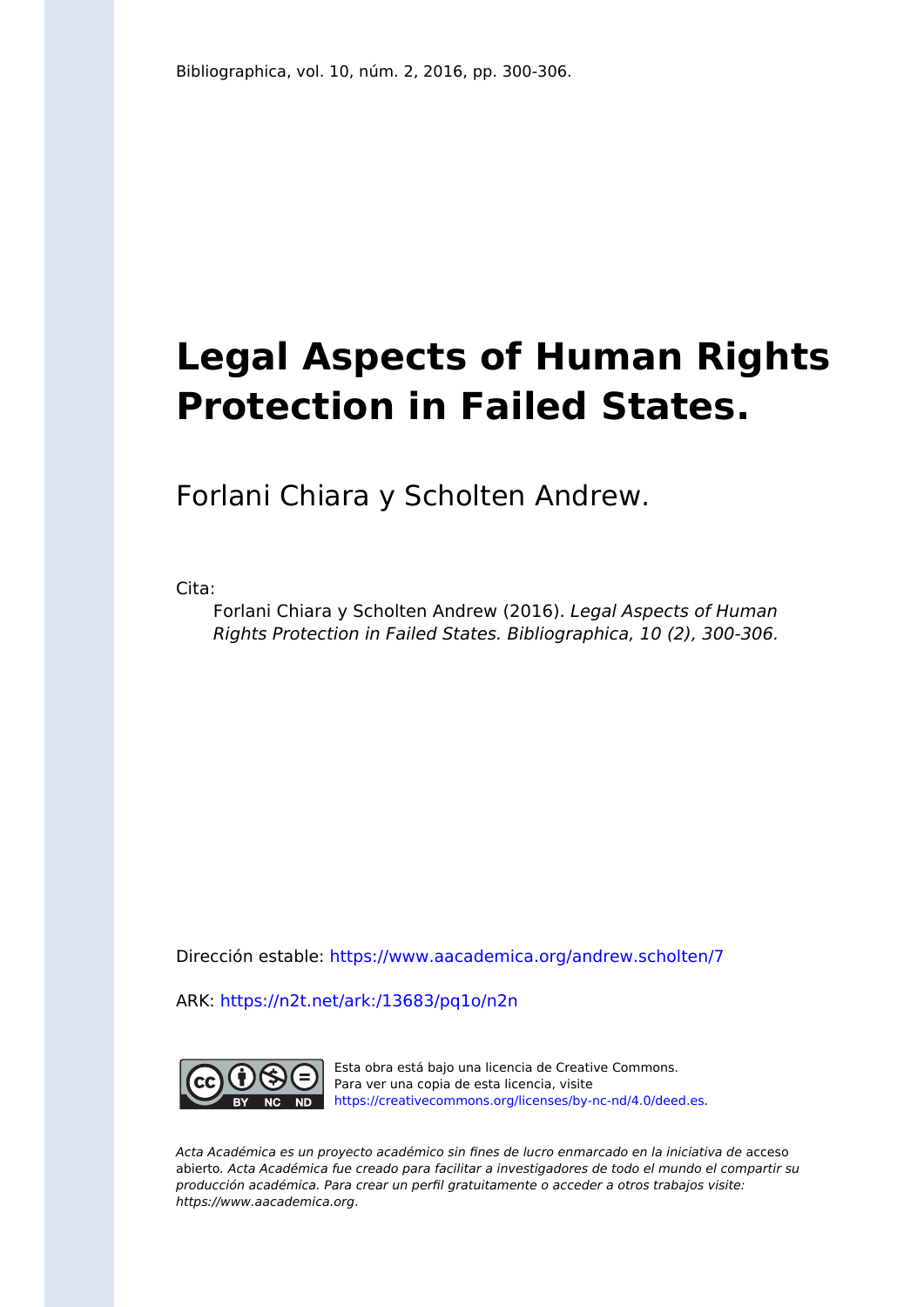## **Legal Aspects of Human Rights Protection in Failed States.**

Forlani Chiara y Scholten Andrew.

Cita:

Forlani Chiara y Scholten Andrew (2016). Legal Aspects of Human Rights Protection in Failed States. Bibliographica, 10 (2), 300-306.

Dirección estable:<https://www.aacademica.org/andrew.scholten/7>

ARK: <https://n2t.net/ark:/13683/pq1o/n2n>



Esta obra está bajo una licencia de Creative Commons. Para ver una copia de esta licencia, visite [https://creativecommons.org/licenses/by-nc-nd/4.0/deed.es.](https://creativecommons.org/licenses/by-nc-nd/4.0/deed.es)

Acta Académica es un proyecto académico sin fines de lucro enmarcado en la iniciativa de acceso abierto. Acta Académica fue creado para facilitar a investigadores de todo el mundo el compartir su producción académica. Para crear un perfil gratuitamente o acceder a otros trabajos visite: https://www.aacademica.org.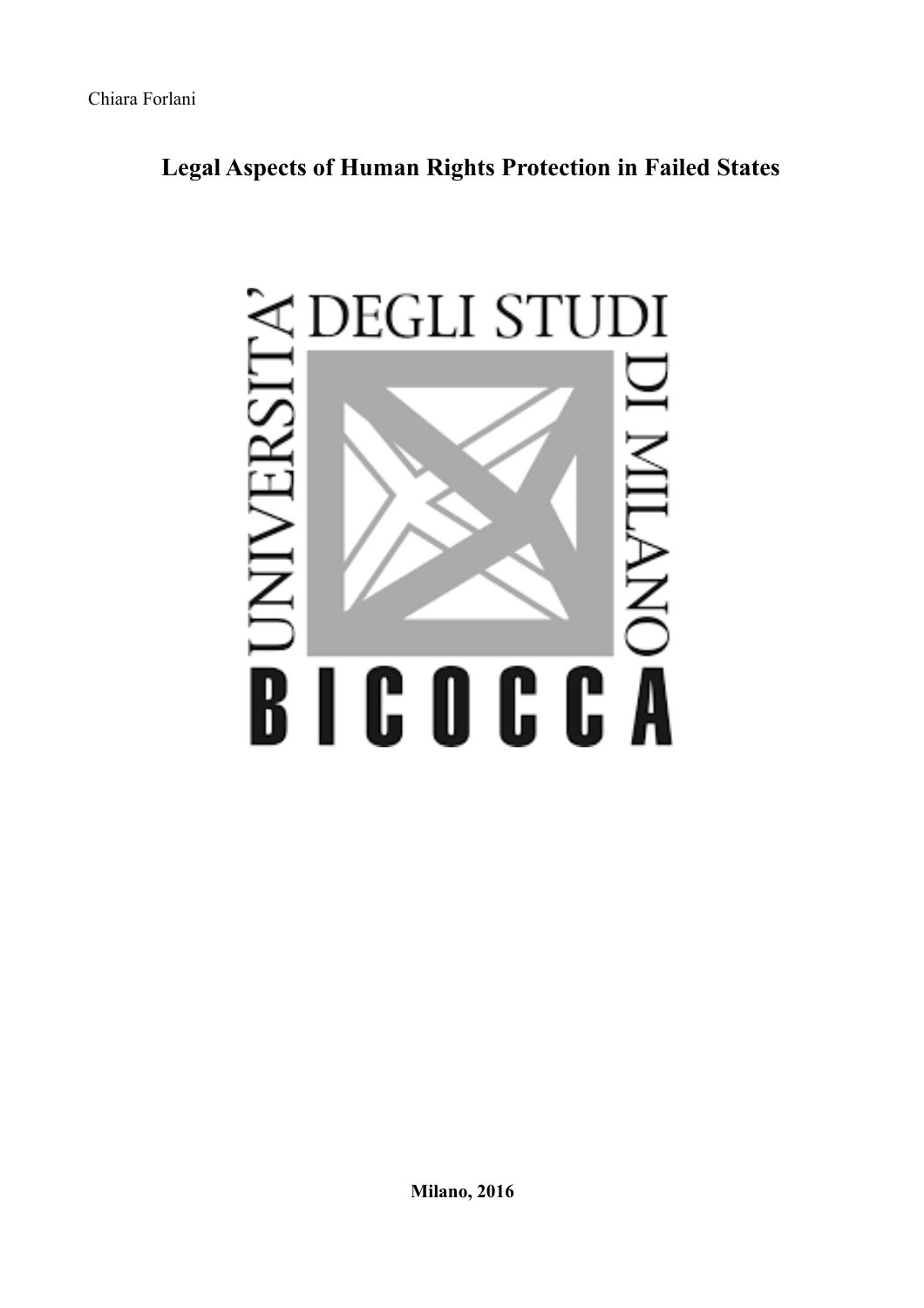## **Legal Aspects of Human Rights Protection in Failed States**



**Milano, 2016**